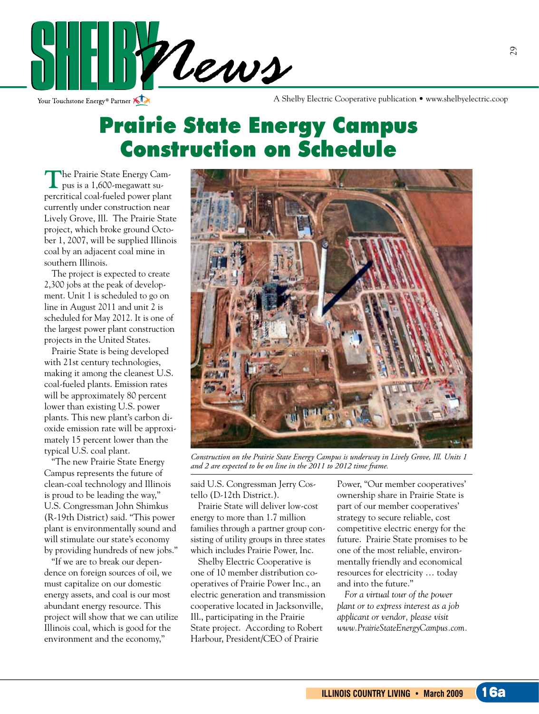

Your Touchstone Energy<sup>®</sup> Partner

A Shelby Electric Cooperative publication • www.shelbyelectric.coop

## Prairie State Energy Campus Construction on Schedule

**T**he Prairie State Energy Campus is a 1,600-megawatt supercritical coal-fueled power plant currently under construction near Lively Grove, Ill. The Prairie State project, which broke ground October 1, 2007, will be supplied Illinois coal by an adjacent coal mine in southern Illinois.

 The project is expected to create 2,300 jobs at the peak of development. Unit 1 is scheduled to go on line in August 2011 and unit 2 is scheduled for May 2012. It is one of the largest power plant construction projects in the United States.

 Prairie State is being developed with 21st century technologies, making it among the cleanest U.S. coal-fueled plants. Emission rates will be approximately 80 percent lower than existing U.S. power plants. This new plant's carbon dioxide emission rate will be approximately 15 percent lower than the typical U.S. coal plant.

 "The new Prairie State Energy Campus represents the future of clean-coal technology and Illinois is proud to be leading the way," U.S. Congressman John Shimkus (R-19th District) said. "This power plant is environmentally sound and will stimulate our state's economy by providing hundreds of new jobs."

 "If we are to break our dependence on foreign sources of oil, we must capitalize on our domestic energy assets, and coal is our most abundant energy resource. This project will show that we can utilize Illinois coal, which is good for the environment and the economy,"



*Construction on the Prairie State Energy Campus is underway in Lively Grove, Ill. Units 1 and 2 are expected to be on line in the 2011 to 2012 time frame.*

said U.S. Congressman Jerry Costello (D-12th District.).

 Prairie State will deliver low-cost energy to more than 1.7 million families through a partner group consisting of utility groups in three states which includes Prairie Power, Inc.

 Shelby Electric Cooperative is one of 10 member distribution cooperatives of Prairie Power Inc., an electric generation and transmission cooperative located in Jacksonville, Ill., participating in the Prairie State project. According to Robert Harbour, President/CEO of Prairie

Power, "Our member cooperatives' ownership share in Prairie State is part of our member cooperatives' strategy to secure reliable, cost competitive electric energy for the future. Prairie State promises to be one of the most reliable, environmentally friendly and economical resources for electricity … today and into the future."

 *For a virtual tour of the power plant or to express interest as a job applicant or vendor, please visit www.PrairieStateEnergyCampus.com.*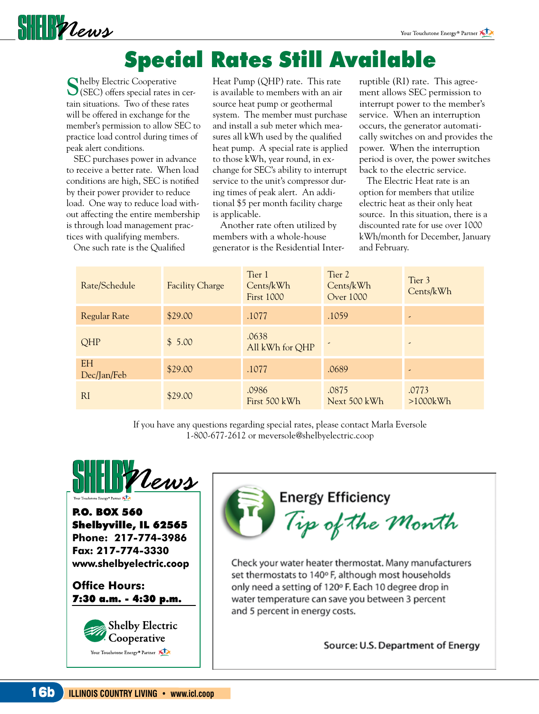

## Special Rates Still Available

**S**helby Electric Cooperative  $\bigcup$  (SEC) offers special rates in certain situations. Two of these rates will be offered in exchange for the member's permission to allow SEC to practice load control during times of peak alert conditions.

 SEC purchases power in advance to receive a better rate. When load conditions are high, SEC is notified by their power provider to reduce load. One way to reduce load without affecting the entire membership is through load management practices with qualifying members.

One such rate is the Qualified

Heat Pump (QHP) rate. This rate is available to members with an air source heat pump or geothermal system. The member must purchase and install a sub meter which measures all kWh used by the qualified heat pump. A special rate is applied to those kWh, year round, in exchange for SEC's ability to interrupt service to the unit's compressor during times of peak alert. An additional \$5 per month facility charge is applicable.

 Another rate often utilized by members with a whole-house generator is the Residential Interruptible (RI) rate. This agreement allows SEC permission to interrupt power to the member's service. When an interruption occurs, the generator automatically switches on and provides the power. When the interruption period is over, the power switches back to the electric service.

 The Electric Heat rate is an option for members that utilize electric heat as their only heat source. In this situation, there is a discounted rate for use over 1000 kWh/month for December, January and February.

| Rate/Schedule            | <b>Facility Charge</b> | Tier 1<br>Cents/kWh<br><b>First 1000</b> | Tier 2<br>Cents/kWh<br><b>Over 1000</b> | Tier 3<br>Cents/kWh |
|--------------------------|------------------------|------------------------------------------|-----------------------------------------|---------------------|
| <b>Regular Rate</b>      | \$29.00                | .1077                                    | .1059                                   | ٠                   |
| QHP                      | \$5.00                 | .0638<br>All kWh for QHP                 |                                         | ٠                   |
| <b>EH</b><br>Dec/Jan/Feb | \$29.00                | .1077                                    | .0689                                   | ٠                   |
| <sub>RI</sub>            | \$29.00                | .0986<br>First 500 kWh                   | .0875<br>Next 500 kWh                   | .0773<br>>1000kWh   |

If you have any questions regarding special rates, please contact Marla Eversole 1-800-677-2612 or meversole@shelbyelectric.coop



P.O. BOX 560 Shelbyville, IL 62565 **Phone: 217-774-3986 Fax: 217-774-3330 www.shelbyelectric.coop**

**Office Hours:**  7:30 a.m. - 4:30 p.m.



**Energy Efficiency** 

Tip of the Month

Check your water heater thermostat. Many manufacturers set thermostats to 140° F, although most households only need a setting of 120° F. Each 10 degree drop in water temperature can save you between 3 percent and 5 percent in energy costs.

Source: U.S. Department of Energy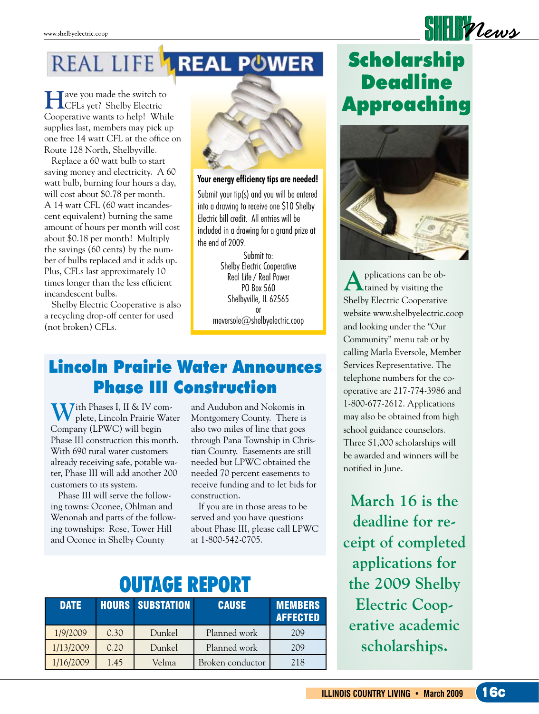# REAL LIFE LREAL PUWER

**H**ave you made the switch to CFLs yet? Shelby Electric Cooperative wants to help! While supplies last, members may pick up one free 14 watt CFL at the office on Route 128 North, Shelbyville.

 Replace a 60 watt bulb to start saving money and electricity. A 60 watt bulb, burning four hours a day, will cost about \$0.78 per month. A 14 watt CFL (60 watt incandescent equivalent) burning the same amount of hours per month will cost about \$0.18 per month! Multiply the savings (60 cents) by the number of bulbs replaced and it adds up. Plus, CFLs last approximately 10 times longer than the less efficient incandescent bulbs.

 Shelby Electric Cooperative is also a recycling drop-off center for used (not broken) CFLs.



**Your energy efficiency tips are needed!**

Submit your tip(s) and you will be entered into a drawing to receive one \$10 Shelby Electric bill credit. All entries will be included in a drawing for a grand prize at the end of 2009.

> Submit to: Shelby Electric Cooperative Real Life / Real Power PO Box 560 Shelbyville, IL 62565 or meversole $\oslash$ shelbyelectric.coop

#### Lincoln Prairie Water Announces Phase III Construction

**W**ith Phases I, II & IV complete, Lincoln Prairie Water Company (LPWC) will begin Phase III construction this month. With 690 rural water customers already receiving safe, potable water, Phase III will add another 200 customers to its system.

 Phase III will serve the following towns: Oconee, Ohlman and Wenonah and parts of the following townships: Rose, Tower Hill and Oconee in Shelby County

and Audubon and Nokomis in Montgomery County. There is also two miles of line that goes through Pana Township in Christian County. Easements are still needed but LPWC obtained the needed 70 percent easements to receive funding and to let bids for construction.

 If you are in those areas to be served and you have questions about Phase III, please call LPWC at 1-800-542-0705.

### OUTAGE REPORT

| <b>DATE</b> |      | <b>HOURS SUBSTATION</b> | <b>CAUSE</b>     | <b>MEMBERS</b><br><b>AFFECTED</b> |
|-------------|------|-------------------------|------------------|-----------------------------------|
| 1/9/2009    | 0.30 | Dunkel                  | Planned work     | 209                               |
| 1/13/2009   | 0.20 | Dunkel                  | Planned work     | 209                               |
| 1/16/2009   | 1.45 | Velma                   | Broken conductor | 218                               |

### Scholarship Deadline Approaching

**SHELF**Vews



**A**pplications can be ob-tained by visiting the Shelby Electric Cooperative website www.shelbyelectric.coop and looking under the "Our Community" menu tab or by calling Marla Eversole, Member Services Representative. The telephone numbers for the cooperative are 217-774-3986 and 1-800-677-2612. Applications may also be obtained from high school guidance counselors. Three \$1,000 scholarships will be awarded and winners will be notified in June.

**March 16 is the deadline for receipt of completed applications for the 2009 Shelby Electric Cooperative academic scholarships.**